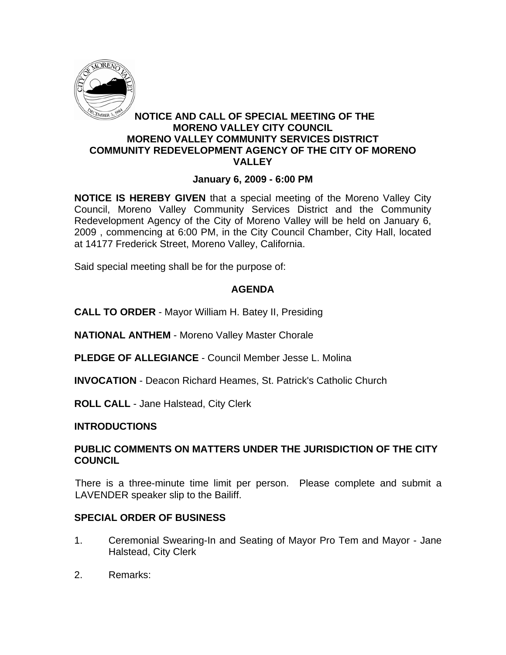

### **NOTICE AND CALL OF SPECIAL MEETING OF THE MORENO VALLEY CITY COUNCIL MORENO VALLEY COMMUNITY SERVICES DISTRICT COMMUNITY REDEVELOPMENT AGENCY OF THE CITY OF MORENO VALLEY**

### **January 6, 2009 - 6:00 PM**

**NOTICE IS HEREBY GIVEN** that a special meeting of the Moreno Valley City Council, Moreno Valley Community Services District and the Community Redevelopment Agency of the City of Moreno Valley will be held on January 6, 2009 , commencing at 6:00 PM, in the City Council Chamber, City Hall, located at 14177 Frederick Street, Moreno Valley, California.

Said special meeting shall be for the purpose of:

## **AGENDA**

**CALL TO ORDER** - Mayor William H. Batey II, Presiding

**NATIONAL ANTHEM** - Moreno Valley Master Chorale

**PLEDGE OF ALLEGIANCE** - Council Member Jesse L. Molina

**INVOCATION** - Deacon Richard Heames, St. Patrick's Catholic Church

**ROLL CALL** - Jane Halstead, City Clerk

### **INTRODUCTIONS**

#### **PUBLIC COMMENTS ON MATTERS UNDER THE JURISDICTION OF THE CITY COUNCIL**

There is a three-minute time limit per person. Please complete and submit a LAVENDER speaker slip to the Bailiff.

### **SPECIAL ORDER OF BUSINESS**

- 1. Ceremonial Swearing-In and Seating of Mayor Pro Tem and Mayor Jane Halstead, City Clerk
- 2. Remarks: